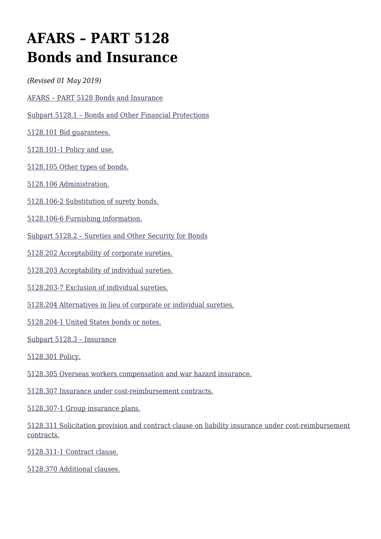# **AFARS – PART 5128 Bonds and Insurance**

*(Revised 01 May 2019)*

[AFARS – PART 5128 Bonds and Insurance](#page--1-0)

[Subpart 5128.1 – Bonds and Other Financial Protections](#page--1-0)

[5128.101 Bid guarantees.](#page--1-0)

[5128.101-1 Policy and use.](#page--1-0)

[5128.105 Other types of bonds.](#page--1-0)

[5128.106 Administration.](#page--1-0)

[5128.106-2 Substitution of surety bonds.](#page--1-0)

[5128.106-6 Furnishing information.](#page--1-0)

[Subpart 5128.2 – Sureties and Other Security for Bonds](#page--1-0)

[5128.202 Acceptability of corporate sureties.](#page--1-0)

[5128.203 Acceptability of individual sureties.](#page--1-0)

[5128.203-7 Exclusion of individual sureties.](#page--1-0)

[5128.204 Alternatives in lieu of corporate or individual sureties.](#page--1-0)

[5128.204-1 United States bonds or notes.](#page--1-0)

[Subpart 5128.3 – Insurance](#page--1-0)

[5128.301 Policy.](#page--1-0)

[5128.305 Overseas workers compensation and war hazard insurance.](#page--1-0)

[5128.307 Insurance under cost-reimbursement contracts.](#page--1-0)

[5128.307-1 Group insurance plans.](#page--1-0)

[5128.311 Solicitation provision and contract clause on liability insurance under cost-reimbursement](#page--1-0) [contracts.](#page--1-0)

[5128.311-1 Contract clause.](#page--1-0)

[5128.370 Additional clauses.](#page--1-0)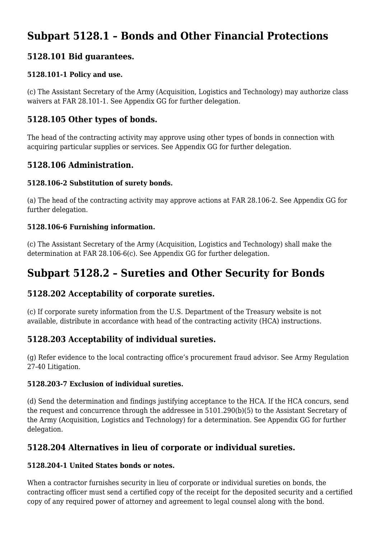# **Subpart 5128.1 – Bonds and Other Financial Protections**

# **5128.101 Bid guarantees.**

#### **5128.101-1 Policy and use.**

(c) The Assistant Secretary of the Army (Acquisition, Logistics and Technology) may authorize class waivers at FAR 28.101-1. See Appendix GG for further delegation.

#### **5128.105 Other types of bonds.**

The head of the contracting activity may approve using other types of bonds in connection with acquiring particular supplies or services. See Appendix GG for further delegation.

### **5128.106 Administration.**

#### **5128.106-2 Substitution of surety bonds.**

(a) The head of the contracting activity may approve actions at FAR 28.106-2. See Appendix GG for further delegation.

#### **5128.106-6 Furnishing information.**

(c) The Assistant Secretary of the Army (Acquisition, Logistics and Technology) shall make the determination at FAR 28.106-6(c). See Appendix GG for further delegation.

# **Subpart 5128.2 – Sureties and Other Security for Bonds**

# **5128.202 Acceptability of corporate sureties.**

(c) If corporate surety information from the U.S. Department of the Treasury website is not available, distribute in accordance with head of the contracting activity (HCA) instructions.

# **5128.203 Acceptability of individual sureties.**

(g) Refer evidence to the local contracting office's procurement fraud advisor. See Army Regulation 27-40 Litigation.

#### **5128.203-7 Exclusion of individual sureties.**

(d) Send the determination and findings justifying acceptance to the HCA. If the HCA concurs, send the request and concurrence through the addressee in 5101.290(b)(5) to the Assistant Secretary of the Army (Acquisition, Logistics and Technology) for a determination. See Appendix GG for further delegation.

# **5128.204 Alternatives in lieu of corporate or individual sureties.**

#### **5128.204-1 United States bonds or notes.**

When a contractor furnishes security in lieu of corporate or individual sureties on bonds, the contracting officer must send a certified copy of the receipt for the deposited security and a certified copy of any required power of attorney and agreement to legal counsel along with the bond.